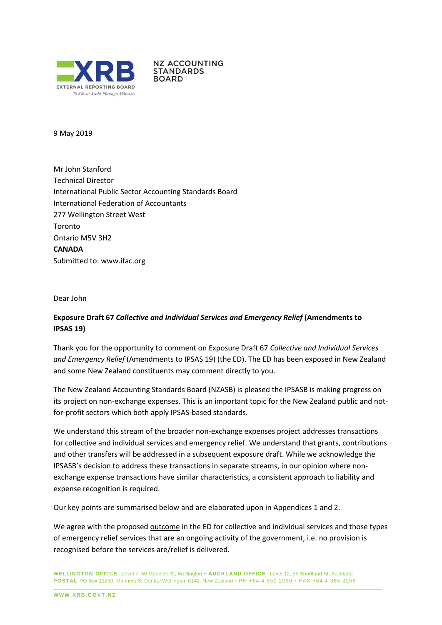

**NZ ACCOUNTING STANDARDS BOARD** 

#### 9 May 2019

Mr John Stanford Technical Director International Public Sector Accounting Standards Board International Federation of Accountants 277 Wellington Street West Toronto Ontario M5V 3H2 **CANADA** Submitted to: [www.ifac.org](http://www.ifac.org/)

Dear John

# **Exposure Draft 67** *Collective and Individual Services and Emergency Relief* **(Amendments to IPSAS 19)**

Thank you for the opportunity to comment on Exposure Draft 67 *Collective and Individual Services and Emergency Relief* (Amendments to IPSAS 19) (the ED). The ED has been exposed in New Zealand and some New Zealand constituents may comment directly to you.

The New Zealand Accounting Standards Board (NZASB) is pleased the IPSASB is making progress on its project on non-exchange expenses. This is an important topic for the New Zealand public and notfor-profit sectors which both apply IPSAS-based standards.

We understand this stream of the broader non-exchange expenses project addresses transactions for collective and individual services and emergency relief. We understand that grants, contributions and other transfers will be addressed in a subsequent exposure draft. While we acknowledge the IPSASB's decision to address these transactions in separate streams, in our opinion where nonexchange expense transactions have similar characteristics, a consistent approach to liability and expense recognition is required.

Our key points are summarised below and are elaborated upon in Appendices 1 and 2.

We agree with the proposed outcome in the ED for collective and individual services and those types of emergency relief services that are an ongoing activity of the government, i.e. no provision is recognised before the services are/relief is delivered.

**WELLINGTON OFFICE** Level 7, 50 Manners St, Wellington **• AUCKLAND OFFICE** Level 12, 55 Shortland St, Auckland **POSTAL** PO Box 11250, Manners St Central Wellington 6142, New Zealand • PH +64 4 550 2030 • FAX +64 4 385 3256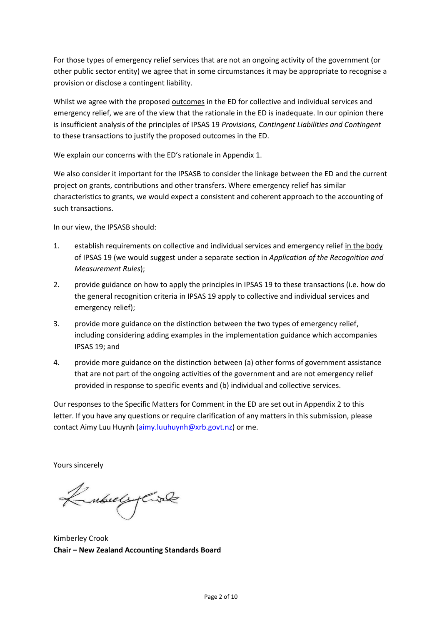For those types of emergency relief services that are not an ongoing activity of the government (or other public sector entity) we agree that in some circumstances it may be appropriate to recognise a provision or disclose a contingent liability.

Whilst we agree with the proposed outcomes in the ED for collective and individual services and emergency relief, we are of the view that the rationale in the ED is inadequate. In our opinion there is insufficient analysis of the principles of IPSAS 19 *Provisions, Contingent Liabilities and Contingent*  to these transactions to justify the proposed outcomes in the ED.

We explain our concerns with the ED's rationale in Appendix 1.

We also consider it important for the IPSASB to consider the linkage between the ED and the current project on grants, contributions and other transfers. Where emergency relief has similar characteristics to grants, we would expect a consistent and coherent approach to the accounting of such transactions.

In our view, the IPSASB should:

- 1. establish requirements on collective and individual services and emergency relief in the body of IPSAS 19 (we would suggest under a separate section in *Application of the Recognition and Measurement Rules*);
- 2. provide guidance on how to apply the principles in IPSAS 19 to these transactions (i.e. how do the general recognition criteria in IPSAS 19 apply to collective and individual services and emergency relief);
- 3. provide more guidance on the distinction between the two types of emergency relief, including considering adding examples in the implementation guidance which accompanies IPSAS 19; and
- 4. provide more guidance on the distinction between (a) other forms of government assistance that are not part of the ongoing activities of the government and are not emergency relief provided in response to specific events and (b) individual and collective services.

Our responses to the Specific Matters for Comment in the ED are set out in Appendix 2 to this letter. If you have any questions or require clarification of any matters in this submission, please contact Aimy Luu Huynh [\(aimy.luuhuynh@xrb.govt.nz\)](mailto:aimy.luuhuynh@xrb.govt.nz) or me.

Yours sincerely

KubelyCook

Kimberley Crook **Chair – New Zealand Accounting Standards Board**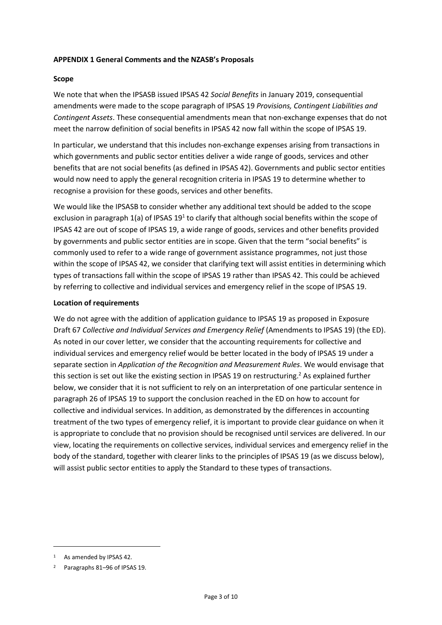# **APPENDIX 1 General Comments and the NZASB's Proposals**

#### **Scope**

We note that when the IPSASB issued IPSAS 42 *Social Benefits* in January 2019, consequential amendments were made to the scope paragraph of IPSAS 19 *Provisions, Contingent Liabilities and Contingent Assets*. These consequential amendments mean that non-exchange expenses that do not meet the narrow definition of social benefits in IPSAS 42 now fall within the scope of IPSAS 19.

In particular, we understand that this includes non-exchange expenses arising from transactions in which governments and public sector entities deliver a wide range of goods, services and other benefits that are not social benefits (as defined in IPSAS 42). Governments and public sector entities would now need to apply the general recognition criteria in IPSAS 19 to determine whether to recognise a provision for these goods, services and other benefits.

We would like the IPSASB to consider whether any additional text should be added to the scope exclusion in paragraph 1(a) of IPSAS 19<sup>1</sup> to clarify that although social benefits within the scope of IPSAS 42 are out of scope of IPSAS 19, a wide range of goods, services and other benefits provided by governments and public sector entities are in scope. Given that the term "social benefits" is commonly used to refer to a wide range of government assistance programmes, not just those within the scope of IPSAS 42, we consider that clarifying text will assist entities in determining which types of transactions fall within the scope of IPSAS 19 rather than IPSAS 42. This could be achieved by referring to collective and individual services and emergency relief in the scope of IPSAS 19.

#### **Location of requirements**

We do not agree with the addition of application guidance to IPSAS 19 as proposed in Exposure Draft 67 *Collective and Individual Services and Emergency Relief* (Amendments to IPSAS 19) (the ED). As noted in our cover letter, we consider that the accounting requirements for collective and individual services and emergency relief would be better located in the body of IPSAS 19 under a separate section in *Application of the Recognition and Measurement Rules*. We would envisage that this section is set out like the existing section in IPSAS 19 on restructuring.<sup>2</sup> As explained further below, we consider that it is not sufficient to rely on an interpretation of one particular sentence in paragraph 26 of IPSAS 19 to support the conclusion reached in the ED on how to account for collective and individual services. In addition, as demonstrated by the differences in accounting treatment of the two types of emergency relief, it is important to provide clear guidance on when it is appropriate to conclude that no provision should be recognised until services are delivered. In our view, locating the requirements on collective services, individual services and emergency relief in the body of the standard, together with clearer links to the principles of IPSAS 19 (as we discuss below), will assist public sector entities to apply the Standard to these types of transactions.

1

<sup>1</sup> As amended by IPSAS 42.

<sup>2</sup> Paragraphs 81–96 of IPSAS 19.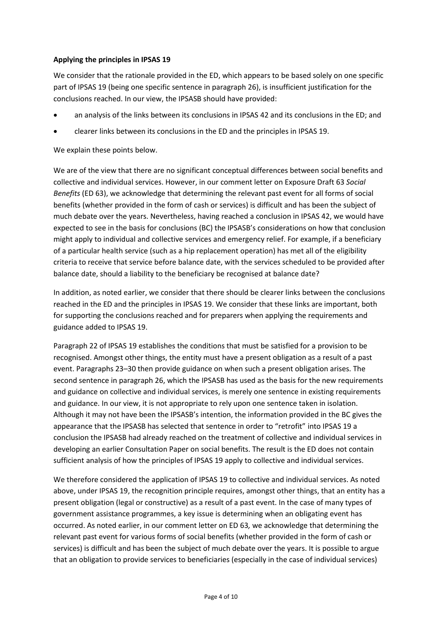# **Applying the principles in IPSAS 19**

We consider that the rationale provided in the ED, which appears to be based solely on one specific part of IPSAS 19 (being one specific sentence in paragraph 26), is insufficient justification for the conclusions reached. In our view, the IPSASB should have provided:

- an analysis of the links between its conclusions in IPSAS 42 and its conclusions in the ED; and
- clearer links between its conclusions in the ED and the principles in IPSAS 19.

We explain these points below.

We are of the view that there are no significant conceptual differences between social benefits and collective and individual services. However, in our comment letter on Exposure Draft 63 *Social Benefits* (ED 63), we acknowledge that determining the relevant past event for all forms of social benefits (whether provided in the form of cash or services) is difficult and has been the subject of much debate over the years. Nevertheless, having reached a conclusion in IPSAS 42, we would have expected to see in the basis for conclusions (BC) the IPSASB's considerations on how that conclusion might apply to individual and collective services and emergency relief. For example, if a beneficiary of a particular health service (such as a hip replacement operation) has met all of the eligibility criteria to receive that service before balance date, with the services scheduled to be provided after balance date, should a liability to the beneficiary be recognised at balance date?

In addition, as noted earlier, we consider that there should be clearer links between the conclusions reached in the ED and the principles in IPSAS 19. We consider that these links are important, both for supporting the conclusions reached and for preparers when applying the requirements and guidance added to IPSAS 19.

Paragraph 22 of IPSAS 19 establishes the conditions that must be satisfied for a provision to be recognised. Amongst other things, the entity must have a present obligation as a result of a past event. Paragraphs 23–30 then provide guidance on when such a present obligation arises. The second sentence in paragraph 26, which the IPSASB has used as the basis for the new requirements and guidance on collective and individual services, is merely one sentence in existing requirements and guidance. In our view, it is not appropriate to rely upon one sentence taken in isolation. Although it may not have been the IPSASB's intention, the information provided in the BC gives the appearance that the IPSASB has selected that sentence in order to "retrofit" into IPSAS 19 a conclusion the IPSASB had already reached on the treatment of collective and individual services in developing an earlier Consultation Paper on social benefits. The result is the ED does not contain sufficient analysis of how the principles of IPSAS 19 apply to collective and individual services.

We therefore considered the application of IPSAS 19 to collective and individual services. As noted above, under IPSAS 19, the recognition principle requires, amongst other things, that an entity has a present obligation (legal or constructive) as a result of a past event. In the case of many types of government assistance programmes, a key issue is determining when an obligating event has occurred. As noted earlier, in our comment letter on ED 63*,* we acknowledge that determining the relevant past event for various forms of social benefits (whether provided in the form of cash or services) is difficult and has been the subject of much debate over the years. It is possible to argue that an obligation to provide services to beneficiaries (especially in the case of individual services)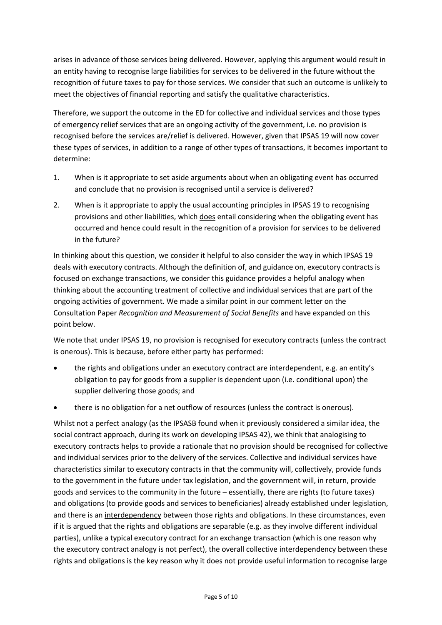arises in advance of those services being delivered. However, applying this argument would result in an entity having to recognise large liabilities for services to be delivered in the future without the recognition of future taxes to pay for those services. We consider that such an outcome is unlikely to meet the objectives of financial reporting and satisfy the qualitative characteristics.

Therefore, we support the outcome in the ED for collective and individual services and those types of emergency relief services that are an ongoing activity of the government, i.e. no provision is recognised before the services are/relief is delivered. However, given that IPSAS 19 will now cover these types of services, in addition to a range of other types of transactions, it becomes important to determine:

- 1. When is it appropriate to set aside arguments about when an obligating event has occurred and conclude that no provision is recognised until a service is delivered?
- 2. When is it appropriate to apply the usual accounting principles in IPSAS 19 to recognising provisions and other liabilities, which does entail considering when the obligating event has occurred and hence could result in the recognition of a provision for services to be delivered in the future?

In thinking about this question, we consider it helpful to also consider the way in which IPSAS 19 deals with executory contracts. Although the definition of, and guidance on, executory contracts is focused on exchange transactions, we consider this guidance provides a helpful analogy when thinking about the accounting treatment of collective and individual services that are part of the ongoing activities of government. We made a similar point in our comment letter on the Consultation Paper *Recognition and Measurement of Social Benefits* and have expanded on this point below.

We note that under IPSAS 19, no provision is recognised for executory contracts (unless the contract is onerous). This is because, before either party has performed:

- the rights and obligations under an executory contract are interdependent, e.g. an entity's obligation to pay for goods from a supplier is dependent upon (i.e. conditional upon) the supplier delivering those goods; and
- there is no obligation for a net outflow of resources (unless the contract is onerous).

Whilst not a perfect analogy (as the IPSASB found when it previously considered a similar idea, the social contract approach, during its work on developing IPSAS 42), we think that analogising to executory contracts helps to provide a rationale that no provision should be recognised for collective and individual services prior to the delivery of the services. Collective and individual services have characteristics similar to executory contracts in that the community will, collectively, provide funds to the government in the future under tax legislation, and the government will, in return, provide goods and services to the community in the future – essentially, there are rights (to future taxes) and obligations (to provide goods and services to beneficiaries) already established under legislation, and there is an interdependency between those rights and obligations. In these circumstances, even if it is argued that the rights and obligations are separable (e.g. as they involve different individual parties), unlike a typical executory contract for an exchange transaction (which is one reason why the executory contract analogy is not perfect), the overall collective interdependency between these rights and obligations is the key reason why it does not provide useful information to recognise large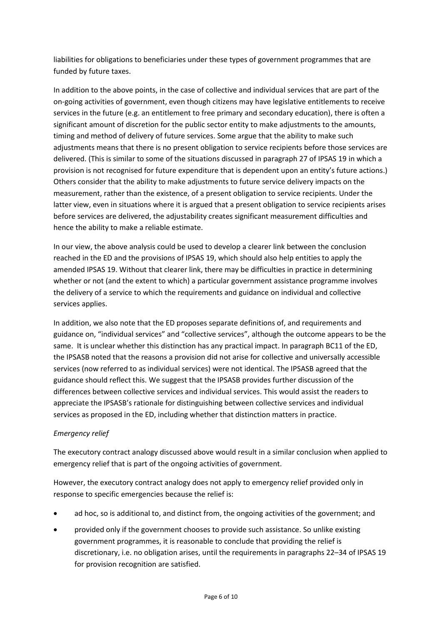liabilities for obligations to beneficiaries under these types of government programmes that are funded by future taxes.

In addition to the above points, in the case of collective and individual services that are part of the on-going activities of government, even though citizens may have legislative entitlements to receive services in the future (e.g. an entitlement to free primary and secondary education), there is often a significant amount of discretion for the public sector entity to make adjustments to the amounts, timing and method of delivery of future services. Some argue that the ability to make such adjustments means that there is no present obligation to service recipients before those services are delivered. (This is similar to some of the situations discussed in paragraph 27 of IPSAS 19 in which a provision is not recognised for future expenditure that is dependent upon an entity's future actions.) Others consider that the ability to make adjustments to future service delivery impacts on the measurement, rather than the existence, of a present obligation to service recipients. Under the latter view, even in situations where it is argued that a present obligation to service recipients arises before services are delivered, the adjustability creates significant measurement difficulties and hence the ability to make a reliable estimate.

In our view, the above analysis could be used to develop a clearer link between the conclusion reached in the ED and the provisions of IPSAS 19, which should also help entities to apply the amended IPSAS 19. Without that clearer link, there may be difficulties in practice in determining whether or not (and the extent to which) a particular government assistance programme involves the delivery of a service to which the requirements and guidance on individual and collective services applies.

In addition, we also note that the ED proposes separate definitions of, and requirements and guidance on, "individual services" and "collective services", although the outcome appears to be the same. It is unclear whether this distinction has any practical impact. In paragraph BC11 of the ED, the IPSASB noted that the reasons a provision did not arise for collective and universally accessible services (now referred to as individual services) were not identical. The IPSASB agreed that the guidance should reflect this. We suggest that the IPSASB provides further discussion of the differences between collective services and individual services. This would assist the readers to appreciate the IPSASB's rationale for distinguishing between collective services and individual services as proposed in the ED, including whether that distinction matters in practice.

# *Emergency relief*

The executory contract analogy discussed above would result in a similar conclusion when applied to emergency relief that is part of the ongoing activities of government.

However, the executory contract analogy does not apply to emergency relief provided only in response to specific emergencies because the relief is:

- ad hoc, so is additional to, and distinct from, the ongoing activities of the government; and
- provided only if the government chooses to provide such assistance. So unlike existing government programmes, it is reasonable to conclude that providing the relief is discretionary, i.e. no obligation arises, until the requirements in paragraphs 22–34 of IPSAS 19 for provision recognition are satisfied.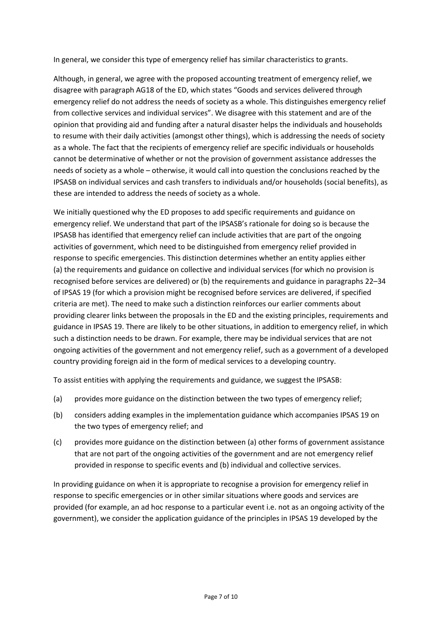In general, we consider this type of emergency relief has similar characteristics to grants.

Although, in general, we agree with the proposed accounting treatment of emergency relief, we disagree with paragraph AG18 of the ED, which states "Goods and services delivered through emergency relief do not address the needs of society as a whole. This distinguishes emergency relief from collective services and individual services". We disagree with this statement and are of the opinion that providing aid and funding after a natural disaster helps the individuals and households to resume with their daily activities (amongst other things), which is addressing the needs of society as a whole. The fact that the recipients of emergency relief are specific individuals or households cannot be determinative of whether or not the provision of government assistance addresses the needs of society as a whole – otherwise, it would call into question the conclusions reached by the IPSASB on individual services and cash transfers to individuals and/or households (social benefits), as these are intended to address the needs of society as a whole.

We initially questioned why the ED proposes to add specific requirements and guidance on emergency relief. We understand that part of the IPSASB's rationale for doing so is because the IPSASB has identified that emergency relief can include activities that are part of the ongoing activities of government, which need to be distinguished from emergency relief provided in response to specific emergencies. This distinction determines whether an entity applies either (a) the requirements and guidance on collective and individual services (for which no provision is recognised before services are delivered) or (b) the requirements and guidance in paragraphs 22–34 of IPSAS 19 (for which a provision might be recognised before services are delivered, if specified criteria are met). The need to make such a distinction reinforces our earlier comments about providing clearer links between the proposals in the ED and the existing principles, requirements and guidance in IPSAS 19. There are likely to be other situations, in addition to emergency relief, in which such a distinction needs to be drawn. For example, there may be individual services that are not ongoing activities of the government and not emergency relief, such as a government of a developed country providing foreign aid in the form of medical services to a developing country.

To assist entities with applying the requirements and guidance, we suggest the IPSASB:

- (a) provides more guidance on the distinction between the two types of emergency relief;
- (b) considers adding examples in the implementation guidance which accompanies IPSAS 19 on the two types of emergency relief; and
- (c) provides more guidance on the distinction between (a) other forms of government assistance that are not part of the ongoing activities of the government and are not emergency relief provided in response to specific events and (b) individual and collective services.

In providing guidance on when it is appropriate to recognise a provision for emergency relief in response to specific emergencies or in other similar situations where goods and services are provided (for example, an ad hoc response to a particular event i.e. not as an ongoing activity of the government), we consider the application guidance of the principles in IPSAS 19 developed by the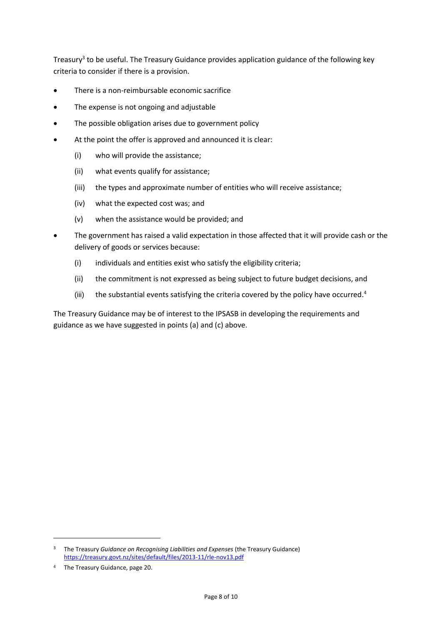Treasury<sup>3</sup> to be useful. The Treasury Guidance provides application guidance of the following key criteria to consider if there is a provision.

- There is a non-reimbursable economic sacrifice
- The expense is not ongoing and adjustable
- The possible obligation arises due to government policy
- At the point the offer is approved and announced it is clear:
	- (i) who will provide the assistance;
	- (ii) what events qualify for assistance;
	- (iii) the types and approximate number of entities who will receive assistance;
	- (iv) what the expected cost was; and
	- (v) when the assistance would be provided; and
- The government has raised a valid expectation in those affected that it will provide cash or the delivery of goods or services because:
	- (i) individuals and entities exist who satisfy the eligibility criteria;
	- (ii) the commitment is not expressed as being subject to future budget decisions, and
	- (iii) the substantial events satisfying the criteria covered by the policy have occurred.<sup>4</sup>

The Treasury Guidance may be of interest to the IPSASB in developing the requirements and guidance as we have suggested in points (a) and (c) above.

-

<sup>3</sup> The Treasury *Guidance on Recognising Liabilities and Expenses* (the Treasury Guidance) <https://treasury.govt.nz/sites/default/files/2013-11/rle-nov13.pdf>

<sup>4</sup> The Treasury Guidance, page 20.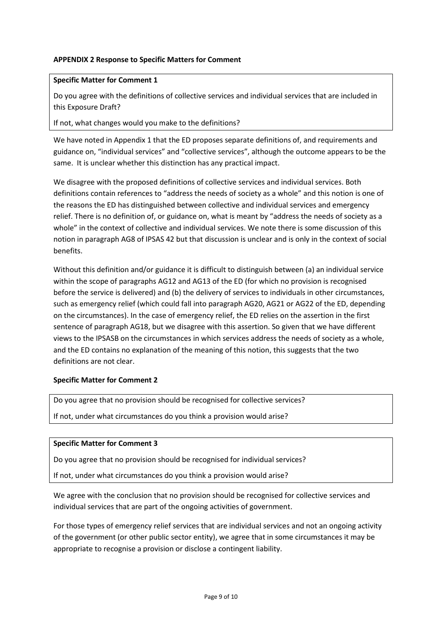# **APPENDIX 2 Response to Specific Matters for Comment**

#### **Specific Matter for Comment 1**

Do you agree with the definitions of collective services and individual services that are included in this Exposure Draft?

If not, what changes would you make to the definitions?

We have noted in Appendix 1 that the ED proposes separate definitions of, and requirements and guidance on, "individual services" and "collective services", although the outcome appears to be the same. It is unclear whether this distinction has any practical impact.

We disagree with the proposed definitions of collective services and individual services. Both definitions contain references to "address the needs of society as a whole" and this notion is one of the reasons the ED has distinguished between collective and individual services and emergency relief. There is no definition of, or guidance on, what is meant by "address the needs of society as a whole" in the context of collective and individual services. We note there is some discussion of this notion in paragraph AG8 of IPSAS 42 but that discussion is unclear and is only in the context of social benefits.

Without this definition and/or guidance it is difficult to distinguish between (a) an individual service within the scope of paragraphs AG12 and AG13 of the ED (for which no provision is recognised before the service is delivered) and (b) the delivery of services to individuals in other circumstances, such as emergency relief (which could fall into paragraph AG20, AG21 or AG22 of the ED, depending on the circumstances). In the case of emergency relief, the ED relies on the assertion in the first sentence of paragraph AG18, but we disagree with this assertion. So given that we have different views to the IPSASB on the circumstances in which services address the needs of society as a whole, and the ED contains no explanation of the meaning of this notion, this suggests that the two definitions are not clear.

#### **Specific Matter for Comment 2**

Do you agree that no provision should be recognised for collective services?

If not, under what circumstances do you think a provision would arise?

#### **Specific Matter for Comment 3**

Do you agree that no provision should be recognised for individual services?

If not, under what circumstances do you think a provision would arise?

We agree with the conclusion that no provision should be recognised for collective services and individual services that are part of the ongoing activities of government.

For those types of emergency relief services that are individual services and not an ongoing activity of the government (or other public sector entity), we agree that in some circumstances it may be appropriate to recognise a provision or disclose a contingent liability.